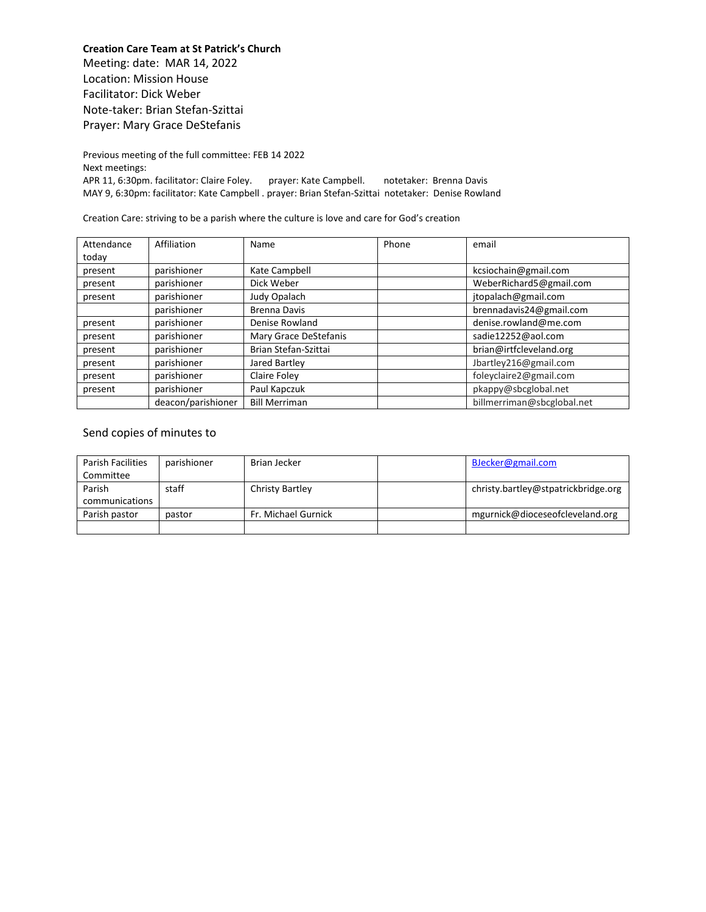**Creation Care Team at St Patrick's Church** Meeting: date: MAR 14, 2022 Location: Mission House Facilitator: Dick Weber Note-taker: Brian Stefan-Szittai Prayer: Mary Grace DeStefanis

Previous meeting of the full committee: FEB 14 2022 Next meetings: APR 11, 6:30pm. facilitator: Claire Foley. prayer: Kate Campbell. notetaker: Brenna Davis MAY 9, 6:30pm: facilitator: Kate Campbell . prayer: Brian Stefan-Szittai notetaker: Denise Rowland

Creation Care: striving to be a parish where the culture is love and care for God's creation

| Attendance | Affiliation        | Name                  | Phone | email                      |
|------------|--------------------|-----------------------|-------|----------------------------|
| today      |                    |                       |       |                            |
| present    | parishioner        | Kate Campbell         |       | kcsiochain@gmail.com       |
| present    | parishioner        | Dick Weber            |       | WeberRichard5@gmail.com    |
| present    | parishioner        | Judy Opalach          |       | jtopalach@gmail.com        |
|            | parishioner        | <b>Brenna Davis</b>   |       | brennadavis24@gmail.com    |
| present    | parishioner        | Denise Rowland        |       | denise.rowland@me.com      |
| present    | parishioner        | Mary Grace DeStefanis |       | sadie12252@aol.com         |
| present    | parishioner        | Brian Stefan-Szittai  |       | brian@irtfcleveland.org    |
| present    | parishioner        | Jared Bartley         |       | Jbartley216@gmail.com      |
| present    | parishioner        | Claire Foley          |       | foleyclaire2@gmail.com     |
| present    | parishioner        | Paul Kapczuk          |       | pkappy@sbcglobal.net       |
|            | deacon/parishioner | <b>Bill Merriman</b>  |       | billmerriman@sbcglobal.net |

## Send copies of minutes to

| Parish Facilities | parishioner | Brian Jecker        | BJecker@gmail.com                   |
|-------------------|-------------|---------------------|-------------------------------------|
| Committee         |             |                     |                                     |
| Parish            | staff       | Christy Bartley     | christy.bartley@stpatrickbridge.org |
| communications    |             |                     |                                     |
| Parish pastor     | pastor      | Fr. Michael Gurnick | mgurnick@dioceseofcleveland.org     |
|                   |             |                     |                                     |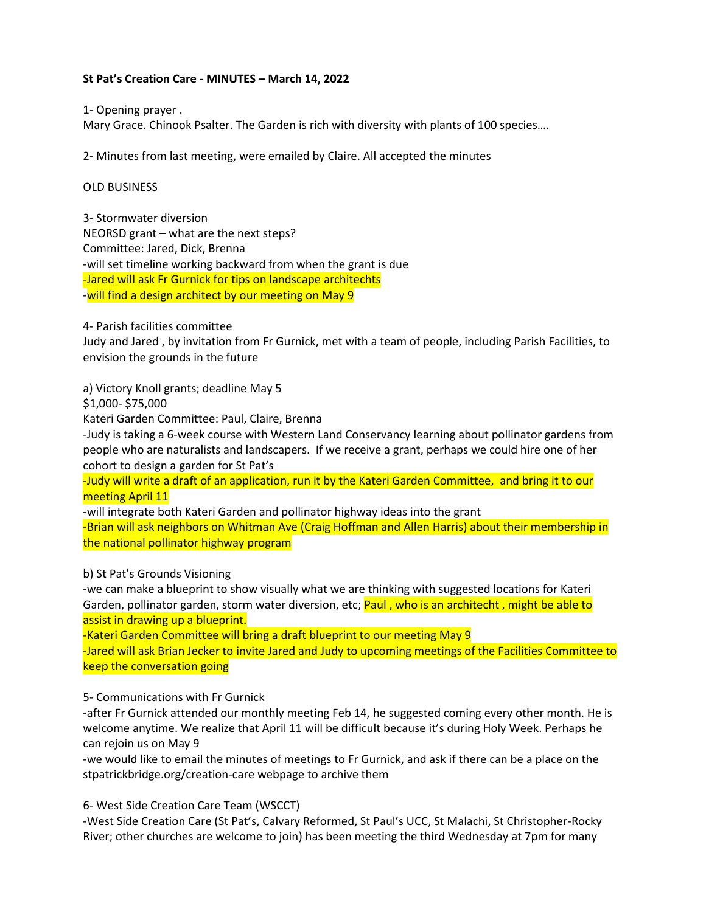# **St Pat's Creation Care - MINUTES – March 14, 2022**

1- Opening prayer .

Mary Grace. Chinook Psalter. The Garden is rich with diversity with plants of 100 species….

2- Minutes from last meeting, were emailed by Claire. All accepted the minutes

## OLD BUSINESS

3- Stormwater diversion NEORSD grant – what are the next steps? Committee: Jared, Dick, Brenna -will set timeline working backward from when the grant is due -Jared will ask Fr Gurnick for tips on landscape architechts -will find a design architect by our meeting on May 9

4- Parish facilities committee

Judy and Jared , by invitation from Fr Gurnick, met with a team of people, including Parish Facilities, to envision the grounds in the future

a) Victory Knoll grants; deadline May 5

\$1,000- \$75,000

Kateri Garden Committee: Paul, Claire, Brenna

-Judy is taking a 6-week course with Western Land Conservancy learning about pollinator gardens from people who are naturalists and landscapers. If we receive a grant, perhaps we could hire one of her cohort to design a garden for St Pat's

-Judy will write a draft of an application, run it by the Kateri Garden Committee, and bring it to our meeting April 11

-will integrate both Kateri Garden and pollinator highway ideas into the grant

-Brian will ask neighbors on Whitman Ave (Craig Hoffman and Allen Harris) about their membership in the national pollinator highway program

b) St Pat's Grounds Visioning

-we can make a blueprint to show visually what we are thinking with suggested locations for Kateri Garden, pollinator garden, storm water diversion, etc; **Paul, who is an architecht, might be able to** assist in drawing up a blueprint.

-Kateri Garden Committee will bring a draft blueprint to our meeting May 9

-Jared will ask Brian Jecker to invite Jared and Judy to upcoming meetings of the Facilities Committee to keep the conversation going

5- Communications with Fr Gurnick

-after Fr Gurnick attended our monthly meeting Feb 14, he suggested coming every other month. He is welcome anytime. We realize that April 11 will be difficult because it's during Holy Week. Perhaps he can rejoin us on May 9

-we would like to email the minutes of meetings to Fr Gurnick, and ask if there can be a place on the stpatrickbridge.org/creation-care webpage to archive them

6- West Side Creation Care Team (WSCCT)

-West Side Creation Care (St Pat's, Calvary Reformed, St Paul's UCC, St Malachi, St Christopher-Rocky River; other churches are welcome to join) has been meeting the third Wednesday at 7pm for many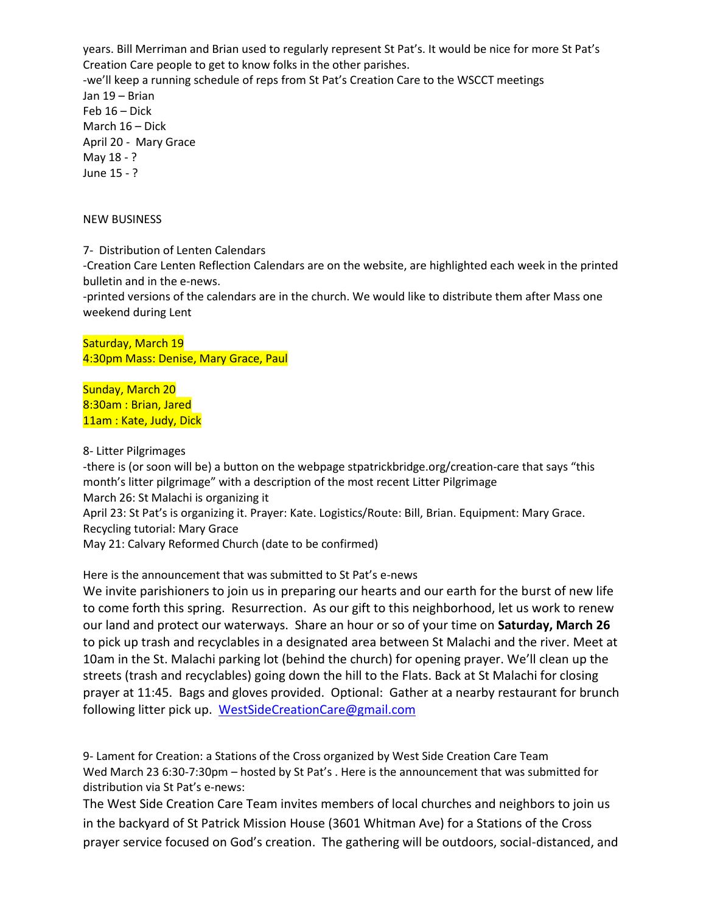years. Bill Merriman and Brian used to regularly represent St Pat's. It would be nice for more St Pat's Creation Care people to get to know folks in the other parishes. -we'll keep a running schedule of reps from St Pat's Creation Care to the WSCCT meetings Jan 19 – Brian Feb 16 – Dick March 16 – Dick April 20 - Mary Grace May 18 - ? June 15 - ?

#### NEW BUSINESS

7- Distribution of Lenten Calendars

-Creation Care Lenten Reflection Calendars are on the website, are highlighted each week in the printed bulletin and in the e-news.

-printed versions of the calendars are in the church. We would like to distribute them after Mass one weekend during Lent

Saturday, March 19 4:30pm Mass: Denise, Mary Grace, Paul

Sunday, March 20 8:30am : Brian, Jared 11am: Kate, Judy, Dick

#### 8- Litter Pilgrimages

-there is (or soon will be) a button on the webpage stpatrickbridge.org/creation-care that says "this month's litter pilgrimage" with a description of the most recent Litter Pilgrimage March 26: St Malachi is organizing it April 23: St Pat's is organizing it. Prayer: Kate. Logistics/Route: Bill, Brian. Equipment: Mary Grace. Recycling tutorial: Mary Grace May 21: Calvary Reformed Church (date to be confirmed)

Here is the announcement that was submitted to St Pat's e-news

We invite parishioners to join us in preparing our hearts and our earth for the burst of new life to come forth this spring. Resurrection. As our gift to this neighborhood, let us work to renew our land and protect our waterways. Share an hour or so of your time on **Saturday, March 26** to pick up trash and recyclables in a designated area between St Malachi and the river. Meet at 10am in the St. Malachi parking lot (behind the church) for opening prayer. We'll clean up the streets (trash and recyclables) going down the hill to the Flats. Back at St Malachi for closing prayer at 11:45. Bags and gloves provided. Optional: Gather at a nearby restaurant for brunch following litter pick up. [WestSideCreationCare@gmail.com](mailto:WestSideCreationCare@gmail.com)

9- Lament for Creation: a Stations of the Cross organized by West Side Creation Care Team Wed March 23 6:30-7:30pm – hosted by St Pat's . Here is the announcement that was submitted for distribution via St Pat's e-news:

The West Side Creation Care Team invites members of local churches and neighbors to join us in the backyard of St Patrick Mission House (3601 Whitman Ave) for a Stations of the Cross prayer service focused on God's creation. The gathering will be outdoors, social-distanced, and